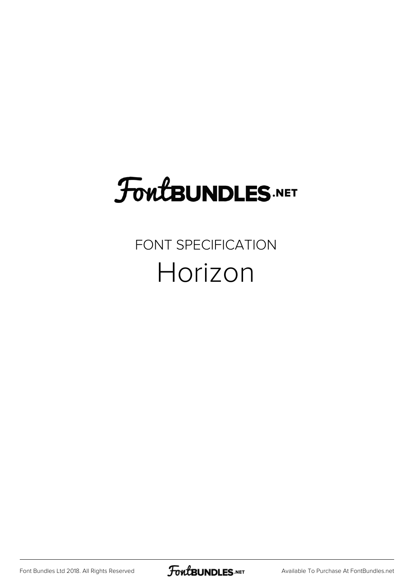### **FoutBUNDLES.NET**

#### FONT SPECIFICATION Horizon

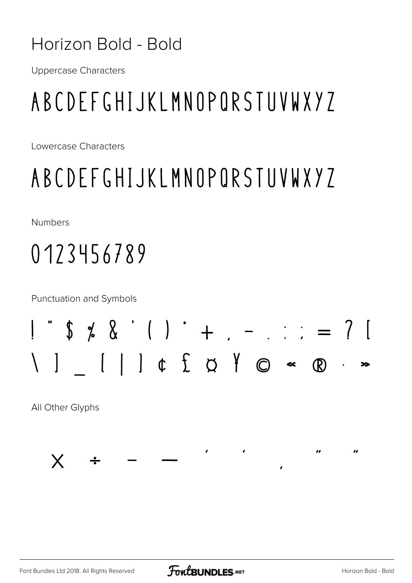#### Horizon Bold - Bold

**Uppercase Characters** 

### ABCDEFGHIJKLMNOPORSTUVWXYZ

Lowercase Characters

#### ABCDEFGHIJKLMNOPORSTUVWXYZ

**Numbers** 

### 0123456789

**Punctuation and Symbols** 

### $1 \t5 \t6 \t8 \t1) + 1 - 11 = ? 1$  $[ | ]$   $\uparrow$   $\uparrow$   $\uparrow$   $\uparrow$   $\circ$   $\bullet$   $\circledast$

All Other Glyphs



Font Bundles Ltd 2018. All Rights Reserved

 $\bullet$ 

 $\overline{\mathbf{r}}$ 

 $\overline{u}$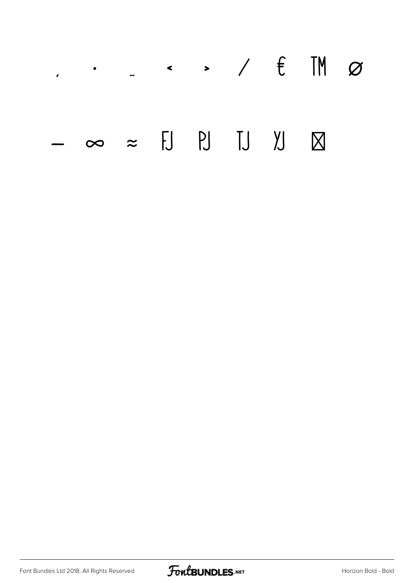## $\leftarrow$  > /  $\epsilon$  TM  $\varnothing$  $\mathcal{L}^{\text{max}}$  $\infty \approx H H J J K$

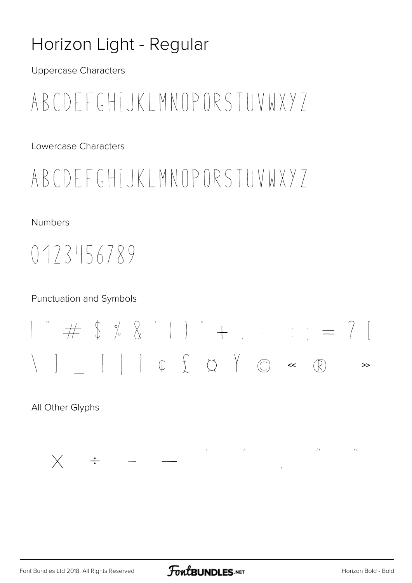#### Horizon Light - Regular

**Uppercase Characters** 

#### ABCDEFGHIJKLMNOPORSTUVWXY7

Lowercase Characters

#### ABCDFFGHIJKIMNOPORSTUVWXY7

**Numbers** 

#### $0173456789$

#### **Punctuation and Symbols**



All Other Glyphs

 $\label{eq:2.1} \mathcal{F}(\mathcal{F}) = \mathcal{F}(\mathcal{F}) = \mathcal{F}(\mathcal{F}) = \mathcal{F}(\mathcal{F})$  $\mathcal{M}^{\text{max}}_{\text{max}}$  and  $\mathcal{M}^{\text{max}}_{\text{max}}$  $\times$   $\div$   $-$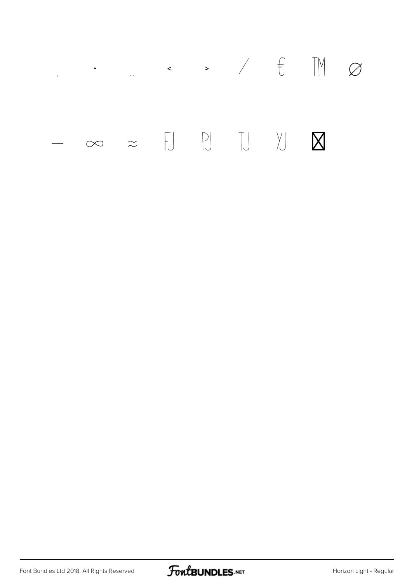

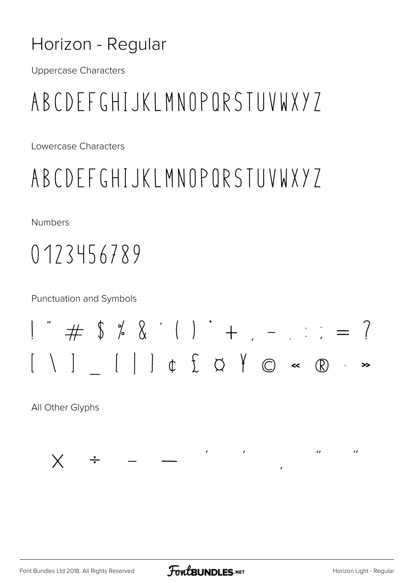#### Horizon - Regular

**Uppercase Characters** 

#### ABCDEFGHIJKLMNOPORSTUVWXYZ

Lowercase Characters

#### ABCDEFGHIJKLMNOPORSTUVWXYZ

**Numbers** 

#### 0123456789

**Punctuation and Symbols** 



 $\mathcal{L} = \mathcal{L} \times \mathcal{L}$ 

All Other Glyphs



 $\overline{u}$ 

 $\boldsymbol{u}$